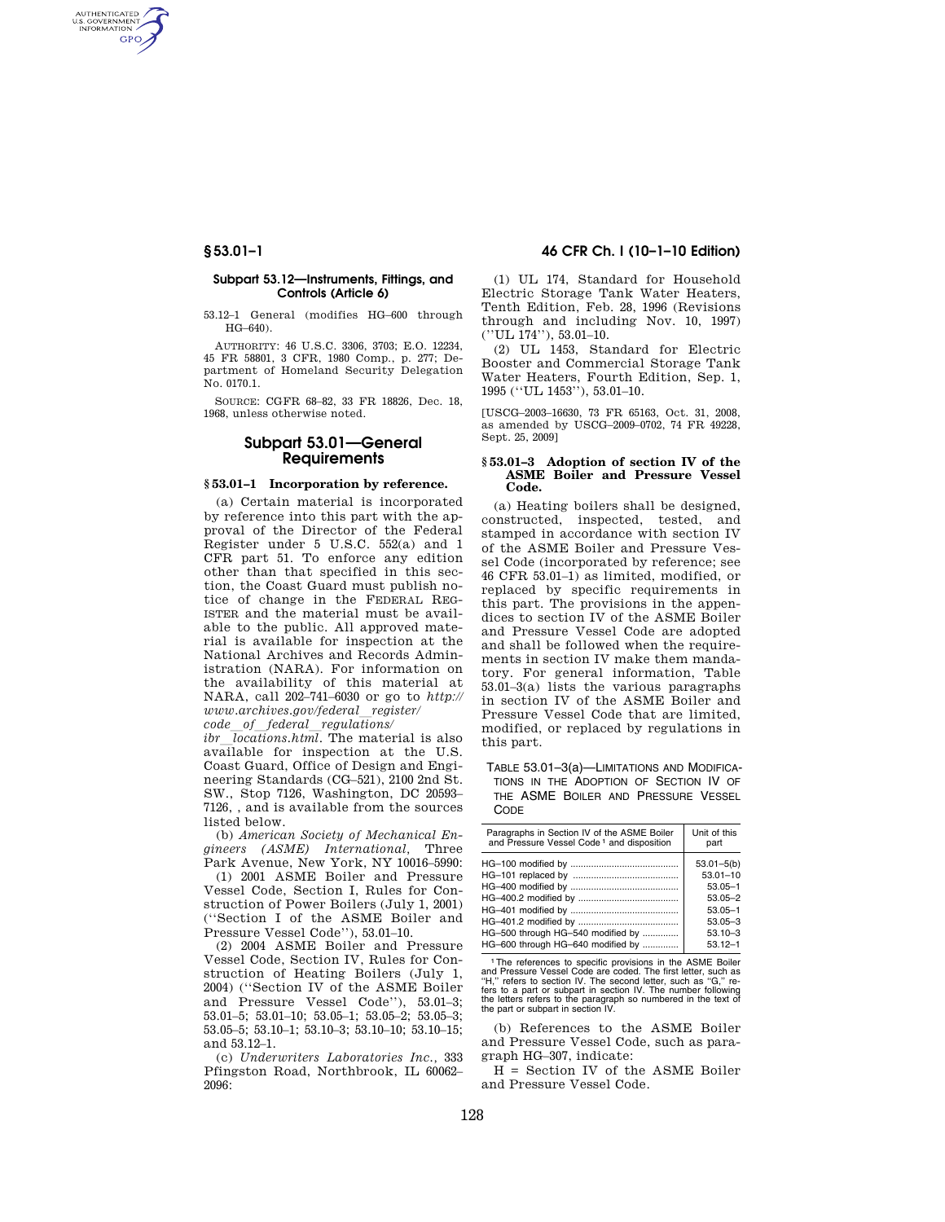AUTHENTICATED<br>U.S. GOVERNMENT<br>INFORMATION **GPO** 

### **Subpart 53.12—Instruments, Fittings, and Controls (Article 6)**

53.12–1 General (modifies HG–600 through HG–640).

AUTHORITY: 46 U.S.C. 3306, 3703; E.O. 12234, 45 FR 58801, 3 CFR, 1980 Comp., p. 277; Department of Homeland Security Delegation No. 0170.1.

SOURCE: CGFR 68–82, 33 FR 18826, Dec. 18, 1968, unless otherwise noted.

# **Subpart 53.01—General Requirements**

## **§ 53.01–1 Incorporation by reference.**

(a) Certain material is incorporated by reference into this part with the approval of the Director of the Federal Register under 5 U.S.C. 552(a) and 1 CFR part 51. To enforce any edition other than that specified in this section, the Coast Guard must publish notice of change in the FEDERAL REG-ISTER and the material must be available to the public. All approved material is available for inspection at the National Archives and Records Administration (NARA). For information on the availability of this material at NARA, call 202–741–6030 or go to *http:// www.archives.gov/federal*l*register/ code*l*of*l*federal*l*regulations/* 

 $\overline{li}$   $\overline{li}$   $\overline{li}$   $\overline{li}$   $\overline{li}$   $\overline{li}$   $\overline{li}$   $\overline{li}$   $\overline{li}$   $\overline{li}$   $\overline{li}$   $\overline{li}$   $\overline{li}$   $\overline{li}$   $\overline{li}$   $\overline{li}$   $\overline{li}$   $\overline{li}$   $\overline{li}$   $\overline{li}$   $\overline{li}$   $\overline{li}$   $\overline{li}$   $\overline{li}$   $\overline{$ available for inspection at the U.S. Coast Guard, Office of Design and Engineering Standards (CG–521), 2100 2nd St. SW., Stop 7126, Washington, DC 20593– 7126, , and is available from the sources listed below.

(b) *American Society of Mechanical Engineers (ASME) International,* Three Park Avenue, New York, NY 10016–5990:

(1) 2001 ASME Boiler and Pressure Vessel Code, Section I, Rules for Construction of Power Boilers (July 1, 2001) (''Section I of the ASME Boiler and Pressure Vessel Code''), 53.01–10.

(2) 2004 ASME Boiler and Pressure Vessel Code, Section IV, Rules for Construction of Heating Boilers (July 1, 2004) (''Section IV of the ASME Boiler and Pressure Vessel Code''), 53.01–3; 53.01–5; 53.01–10; 53.05–1; 53.05–2; 53.05–3; 53.05–5; 53.10–1; 53.10–3; 53.10–10; 53.10–15; and 53.12–1.

(c) *Underwriters Laboratories Inc.,* 333 Pfingston Road, Northbrook, IL 60062– 2096:

## **§ 53.01–1 46 CFR Ch. I (10–1–10 Edition)**

(1) UL 174, Standard for Household Electric Storage Tank Water Heaters, Tenth Edition, Feb. 28, 1996 (Revisions through and including Nov. 10, 1997) (''UL 174''), 53.01–10.

(2) UL 1453, Standard for Electric Booster and Commercial Storage Tank Water Heaters, Fourth Edition, Sep. 1, 1995 (''UL 1453''), 53.01–10.

[USCG–2003–16630, 73 FR 65163, Oct. 31, 2008, as amended by USCG–2009–0702, 74 FR 49228, Sept. 25, 2009]

#### **§ 53.01–3 Adoption of section IV of the ASME Boiler and Pressure Vessel Code.**

(a) Heating boilers shall be designed, constructed, inspected, tested, and stamped in accordance with section IV of the ASME Boiler and Pressure Vessel Code (incorporated by reference; see 46 CFR 53.01–1) as limited, modified, or replaced by specific requirements in this part. The provisions in the appendices to section IV of the ASME Boiler and Pressure Vessel Code are adopted and shall be followed when the requirements in section IV make them mandatory. For general information, Table 53.01–3(a) lists the various paragraphs in section IV of the ASME Boiler and Pressure Vessel Code that are limited, modified, or replaced by regulations in this part.

TABLE 53.01–3(a)—LIMITATIONS AND MODIFICA-TIONS IN THE ADOPTION OF SECTION IV OF THE ASME BOILER AND PRESSURE VESSEL **CODE** 

| Paragraphs in Section IV of the ASME Boiler<br>and Pressure Vessel Code <sup>1</sup> and disposition | Unit of this<br>part |
|------------------------------------------------------------------------------------------------------|----------------------|
|                                                                                                      | $53.01 - 5(b)$       |
|                                                                                                      | $53.01 - 10$         |
|                                                                                                      | $53.05 - 1$          |
|                                                                                                      | $53.05 - 2$          |
|                                                                                                      | $53.05 - 1$          |
|                                                                                                      | $53.05 - 3$          |
| HG-500 through HG-540 modified by                                                                    | $53.10 - 3$          |
| HG-600 through HG-640 modified by                                                                    | $53.12 - 1$          |

1The references to specific provisions in the ASME Boiler and Pressure Vessel Code are coded. The first letter, such as<br>"H," refers to section IV. The second letter, such as "G," re-<br>fers to a part or subpart in section IV. The number following<br>the letters refers to the paragraph

(b) References to the ASME Boiler and Pressure Vessel Code, such as paragraph HG–307, indicate:

H = Section IV of the ASME Boiler and Pressure Vessel Code.